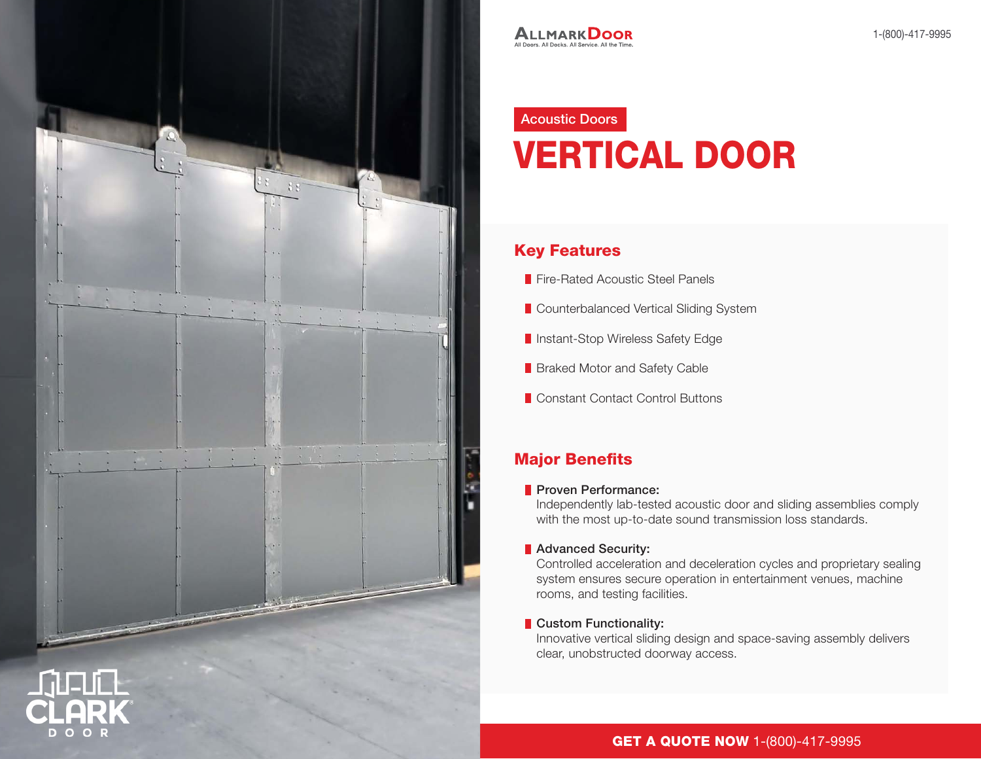

# Acoustic Doors VERTICAL DOOR

# Key Features

- **Fire-Rated Acoustic Steel Panels**
- **Counterbalanced Vertical Sliding System**
- **Instant-Stop Wireless Safety Edge**
- **Braked Motor and Safety Cable**
- Constant Contact Control Buttons

# Major Benefits

#### **Proven Performance:**

Independently lab-tested acoustic door and sliding assemblies comply with the most up-to-date sound transmission loss standards.

**Advanced Security:** 

Controlled acceleration and deceleration cycles and proprietary sealing system ensures secure operation in entertainment venues, machine rooms, and testing facilities.

#### **Custom Functionality:**

Innovative vertical sliding design and space-saving assembly delivers clear, unobstructed doorway access.

## **GET A QUOTE NOW 1-(800)-417-9995**